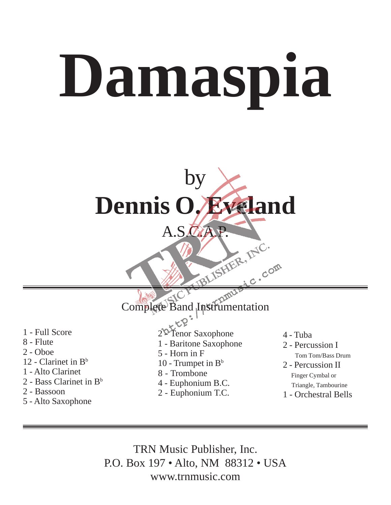# **Damaspia**

## by **Dennis O. Eveland**

A.S.C.A.P.<br>W.A.P. Inc. Complete Band Instrumentation

- 1 Full Score
- 8 Flute
- 2 Oboe
- 12 Clarinet in  $B^b$
- 1 Alto Clarinet
- 2 Bass Clarinet in  $B<sup>b</sup>$
- 2 Bassoon
- 5 Alto Saxophone
- Tenor Saxophone
- 1 Baritone Saxophone
- 5 Horn in F
- 10 Trumpet in  $B<sup>b</sup>$
- 8 Trombone
- 4 Euphonium B.C.
- 2 Euphonium T.C.
- 4 Tuba
- 2 Percussion I
- Tom Tom/Bass Drum
- 2 Percussion II Finger Cymbal or Triangle, Tambourine
- 1 Orchestral Bells

TRN Music Publisher, Inc. P.O. Box 197 • Alto, NM 88312 • USA www.trnmusic.com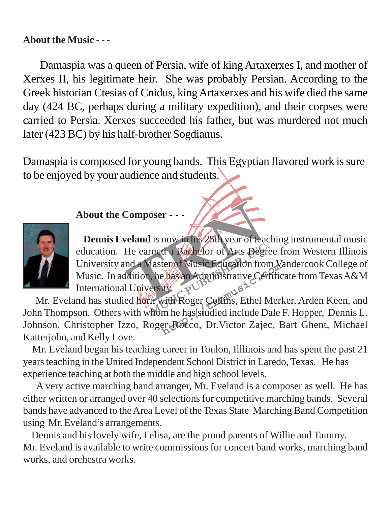#### **About the Music - - -**

Damaspia was a queen of Persia, wife of king Artaxerxes I, and mother of Xerxes II, his legitimate heir. She was probably Persian. According to the Greek historian Ctesias of Cnidus, king Artaxerxes and his wife died the same day (424 BC, perhaps during a military expedition), and their corpses were carried to Persia. Xerxes succeeded his father, but was murdered not much later (423 BC) by his half-brother Sogdianus.

Damaspia is composed for young bands. This Egyptian flavored work is sure to be enjoyed by your audience and students.

#### **About the Composer - - -**



**Dennis Eveland** is now in his 25th year of teaching instrumental music education. He earned a Bachelor of Arts Degree from Western Illinois University and a Master of Music Education from Vandercook College of Music. In addition, he has an Administrative Certificate from Texas A&M International University.

International University<br>Mr. Eveland has studied horn with Roger Collins, Ethel Merker, Arden Keen, and John Thompson. Others with whom he has studied include Dale F. Hopper, Dennis L. Johnson, Christopher Izzo, Roger Rocco, Dr.Victor Zajec, Bart Ghent, Michael Katterjohn, and Kelly Love.

 Mr. Eveland began his teaching career in Toulon, Illlinois and has spent the past 21 years teaching in the United Independent School District in Laredo, Texas. He has experience teaching at both the middle and high school levels.

 A very active marching band arranger, Mr. Eveland is a composer as well. He has either written or arranged over 40 selections for competitive marching bands. Several bands have advanced to the Area Level of the Texas State Marching Band Competition using Mr. Eveland's arrangements.

 Dennis and his lovely wife, Felisa, are the proud parents of Willie and Tammy. Mr. Eveland is available to write commissions for concert band works, marching band works, and orchestra works.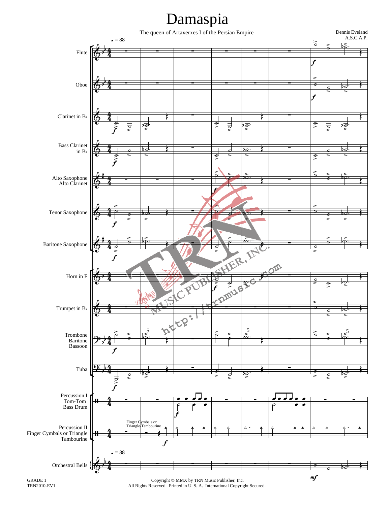### Damaspia



Copyright © MMX by TRN Music Publisher, Inc. All Rights Reserved. Printed in U. S. A. International Copyright Secured.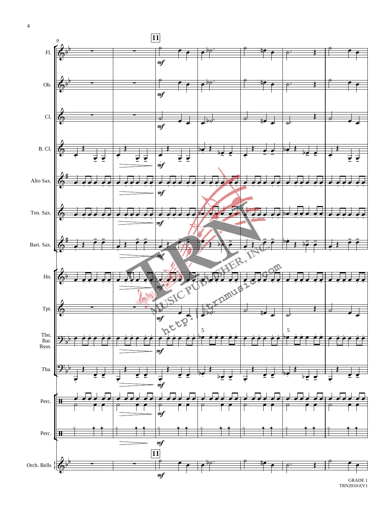

<sup>4</sup>

TRN2010-EV1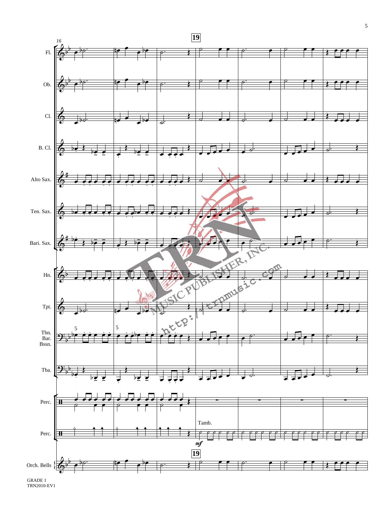

GRADE 1 TRN2010-EV1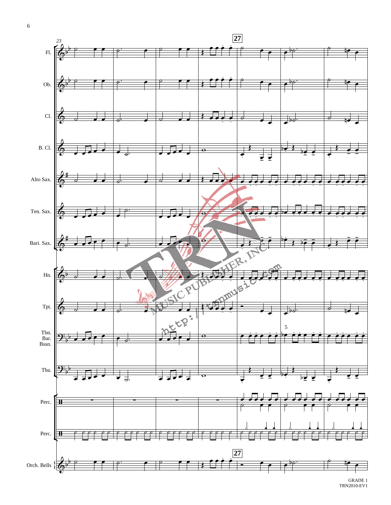

GRADE 1 TRN2010-EV1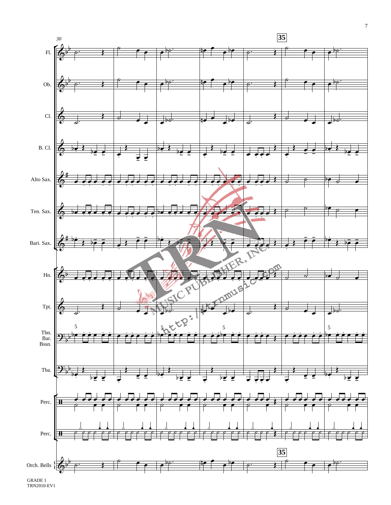

GRADE 1 TRN2010-EV1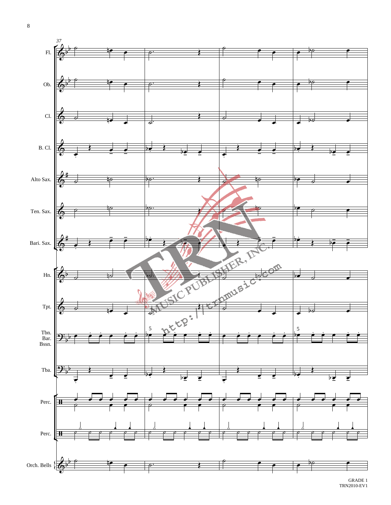

GRADE 1 TRN2010-EV1